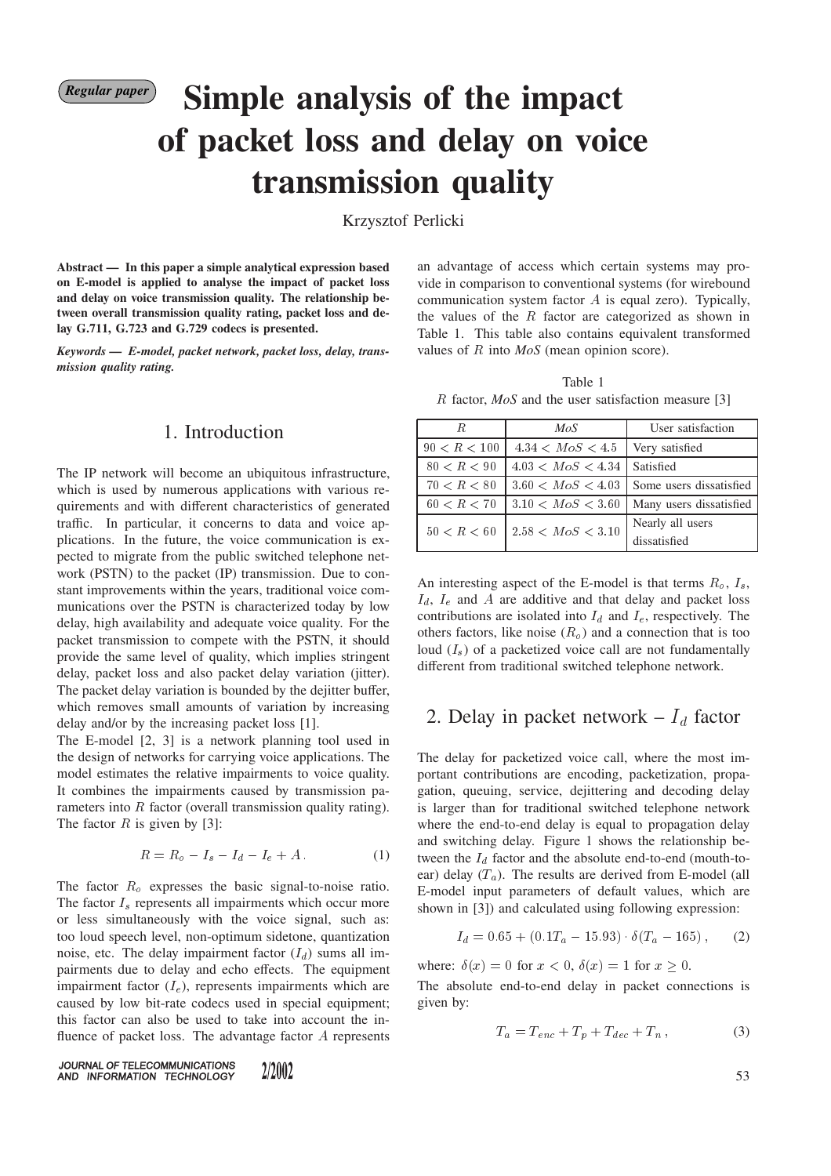# *Regular paper* **Simple analysis of the impact of packet loss and delay on voice transmission quality**

Krzysztof Perlicki

**Abstract — In this paper a simple analytical expression based on E-model is applied to analyse the impact of packet loss and delay on voice transmission quality. The relationship between overall transmission quality rating, packet loss and delay G.711, G.723 and G.729 codecs is presented.**

*Keywords — E-model, packet network, packet loss, delay, transmission quality rating.*

#### 1. Introduction

The IP network will become an ubiquitous infrastructure, which is used by numerous applications with various requirements and with different characteristics of generated traffic. In particular, it concerns to data and voice applications. In the future, the voice communication is expected to migrate from the public switched telephone network (PSTN) to the packet (IP) transmission. Due to constant improvements within the years, traditional voice communications over the PSTN is characterized today by low delay, high availability and adequate voice quality. For the packet transmission to compete with the PSTN, it should provide the same level of quality, which implies stringent delay, packet loss and also packet delay variation (jitter). The packet delay variation is bounded by the dejitter buffer, which removes small amounts of variation by increasing delay and/or by the increasing packet loss [1].

The E-model [2, 3] is a network planning tool used in the design of networks for carrying voice applications. The model estimates the relative impairments to voice quality. It combines the impairments caused by transmission parameters into R factor (overall transmission quality rating). The factor  $R$  is given by [3]:

$$
R = R_o - I_s - I_d - I_e + A. \tag{1}
$$

The factor  $R_o$  expresses the basic signal-to-noise ratio. The factor  $I<sub>s</sub>$  represents all impairments which occur more or less simultaneously with the voice signal, such as: too loud speech level, non-optimum sidetone, quantization noise, etc. The delay impairment factor  $(I_d)$  sums all impairments due to delay and echo effects. The equipment impairment factor  $(I_e)$ , represents impairments which are caused by low bit-rate codecs used in special equipment; this factor can also be used to take into account the influence of packet loss. The advantage factor <sup>A</sup> represents

an advantage of access which certain systems may provide in comparison to conventional systems (for wirebound communication system factor A is equal zero). Typically, the values of the  $R$  factor are categorized as shown in Table 1. This table also contains equivalent transformed values of <sup>R</sup> into *MoS* (mean opinion score).

Table 1

| $R$ factor, $MoS$ and the user satisfaction measure [3] |  |
|---------------------------------------------------------|--|
|---------------------------------------------------------|--|

| R.           | MoS                             | User satisfaction       |
|--------------|---------------------------------|-------------------------|
| 90 < R < 100 | $4.34 < M \circ S < 4.5$        | Very satisfied          |
| 80 < R < 90  | $4.03 < M \circ S < 4.34$       | Satisfied               |
| 70 < R < 80  | 3.60 < MoS < 4.03               | Some users dissatisfied |
| 60 < R < 70  | 3.10 < MoS < 3.60               | Many users dissatisfied |
| 50 < R < 60  | $2.58 < M \, \text{o} S < 3.10$ | Nearly all users        |
|              |                                 | dissatisfied            |

An interesting aspect of the E-model is that terms  $R_o$ ,  $I_s$ ,  $I_d$ ,  $I_e$  and A are additive and that delay and packet loss contributions are isolated into  $I_d$  and  $I_e$ , respectively. The others factors, like noise  $(R_o)$  and a connection that is too loud  $(I_s)$  of a packetized voice call are not fundamentally different from traditional switched telephone network.

#### 2. Delay in packet network –  $I_d$  factor

The delay for packetized voice call, where the most important contributions are encoding, packetization, propagation, queuing, service, dejittering and decoding delay is larger than for traditional switched telephone network where the end-to-end delay is equal to propagation delay and switching delay. Figure 1 shows the relationship between the  $I_d$  factor and the absolute end-to-end (mouth-toear) delay  $(T_a)$ . The results are derived from E-model (all E-model input parameters of default values, which are shown in [3]) and calculated using following expression:

$$
I_d = 0.65 + (0.1T_a - 15.93) \cdot \delta(T_a - 165), \qquad (2)
$$

where:  $\delta(x)=0$  for  $x < 0$ ,  $\delta(x)=1$  for  $x > 0$ .

The absolute end-to-end delay in packet connections is given by:

$$
T_a = T_{enc} + T_p + T_{dec} + T_n, \qquad (3)
$$

JOURNAL OF TELECOMMUNICATIONS 2/2002 AND INFORMATION TECHNOLOGY

53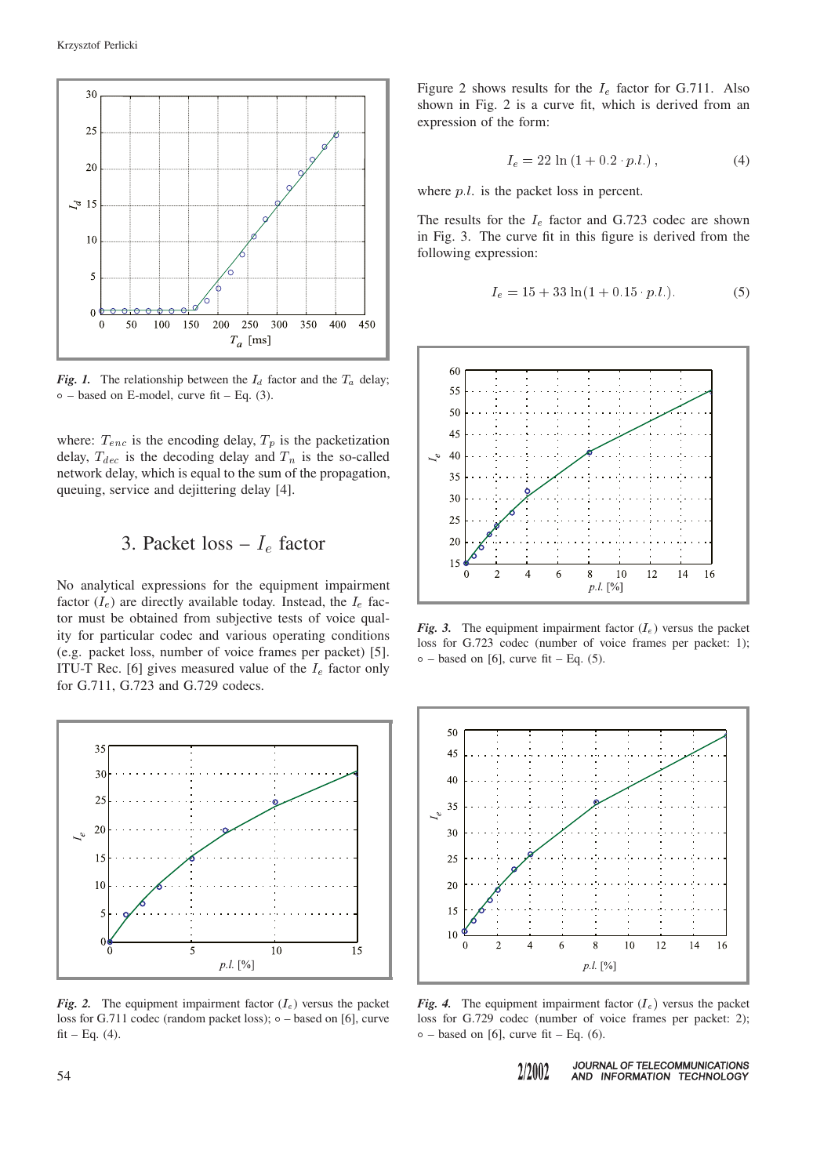

*Fig. 1.* The relationship between the  $I_d$  factor and the  $T_a$  delay;  $\circ$  – based on E-model, curve fit – Eq. (3).

where:  $T_{enc}$  is the encoding delay,  $T_p$  is the packetization delay,  $T_{dec}$  is the decoding delay and  $T_n$  is the so-called network delay, which is equal to the sum of the propagation, queuing, service and dejittering delay [4].

### 3. Packet loss –  $I_e$  factor

No analytical expressions for the equipment impairment factor  $(I_e)$  are directly available today. Instead, the  $I_e$  factor must be obtained from subjective tests of voice quality for particular codec and various operating conditions (e.g. packet loss, number of voice frames per packet) [5]. ITU-T Rec. [6] gives measured value of the  $I_e$  factor only for G.711, G.723 and G.729 codecs.



*Fig. 2.* The equipment impairment factor  $(I_e)$  versus the packet loss for G.711 codec (random packet loss);  $\circ$  – based on [6], curve  $fit - Eq. (4)$ .

Figure 2 shows results for the  $I_e$  factor for G.711. Also shown in Fig. 2 is a curve fit, which is derived from an expression of the form:

$$
I_e = 22 \ln (1 + 0.2 \cdot p.l.), \tag{4}
$$

where  $p.l.$  is the packet loss in percent.

The results for the  $I_e$  factor and G.723 codec are shown in Fig. 3. The curve fit in this figure is derived from the following expression:

$$
I_e = 15 + 33 \ln(1 + 0.15 \cdot p.l.). \tag{5}
$$



*Fig. 3.* The equipment impairment factor  $(I_e)$  versus the packet loss for G.723 codec (number of voice frames per packet: 1);  $\circ$  – based on [6], curve fit – Eq. (5).



*Fig. 4.* The equipment impairment factor  $(I_e)$  versus the packet loss for G.729 codec (number of voice frames per packet: 2);  $\circ$  – based on [6], curve fit – Eq. (6).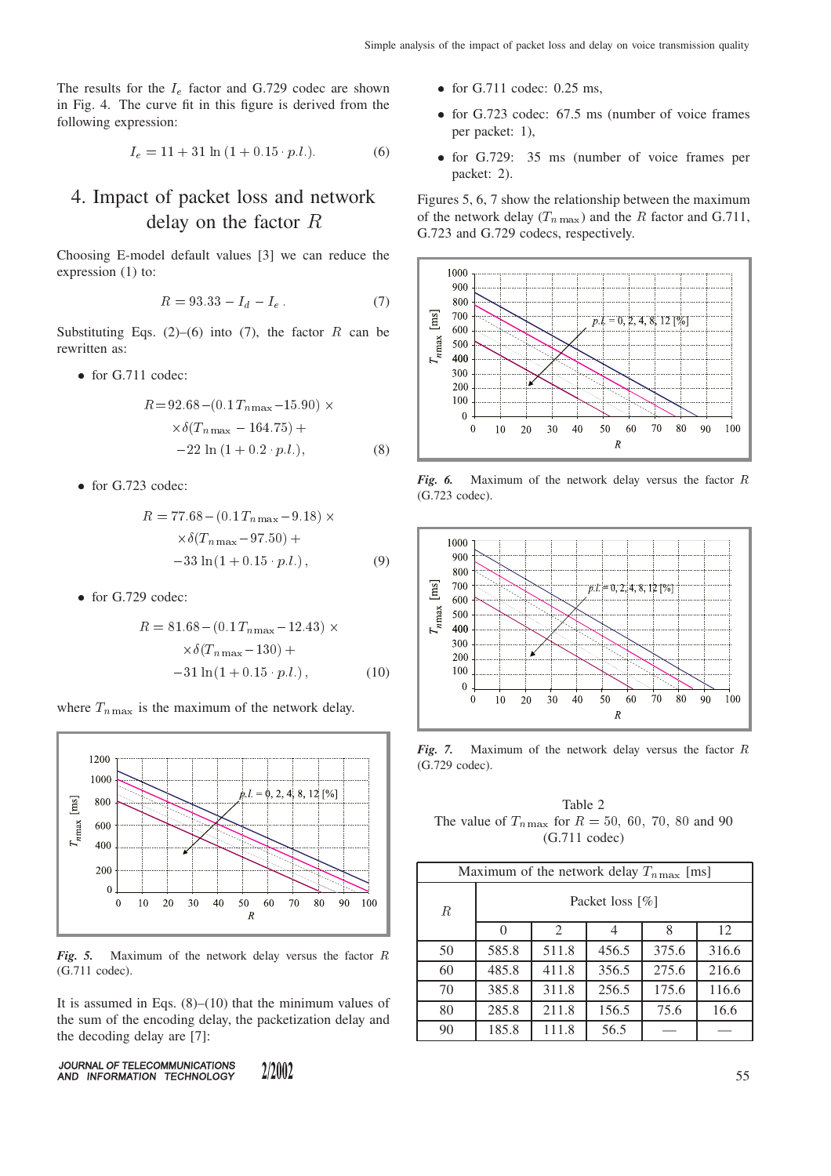The results for the  $I_e$  factor and G.729 codec are shown in Fig. 4. The curve fit in this figure is derived from the following expression:

$$
I_e = 11 + 31 \ln(1 + 0.15 \cdot p.l.). \tag{6}
$$

## 4. Impact of packet loss and network delay on the factor <sup>R</sup>

Choosing E-model default values [3] we can reduce the expression (1) to:

$$
R = 93.33 - I_d - I_e \tag{7}
$$

Substituting Eqs. (2)–(6) into (7), the factor R can be rewritten as:

• for G.711 codec:

$$
R = 92.68 - (0.1 T_{n\max} - 15.90) \times
$$
  
 
$$
\times \delta(T_{n\max} - 164.75) +
$$
  
 
$$
-22 \ln(1 + 0.2 \cdot p.l.),
$$
 (8)

• for G.723 codec:

$$
R = 77.68 - (0.1 T_{n\text{max}} - 9.18) \times
$$
  
 
$$
\times \delta (T_{n\text{max}} - 97.50) +
$$
  
-33 ln(1 + 0.15 · p.l.), (9)

 $\bullet$  for G.729 codec:

$$
R = 81.68 - (0.1 T_{n \max} - 12.43) \times
$$
  
 
$$
\times \delta(T_{n \max} - 130) +
$$
  
 
$$
-31 \ln(1 + 0.15 \cdot p.l.) , \qquad (10)
$$

where  $T_{n \max}$  is the maximum of the network delay.



*Fig. 5.* Maximum of the network delay versus the factor <sup>R</sup> (G.711 codec).

It is assumed in Eqs.  $(8)$ – $(10)$  that the minimum values of the sum of the encoding delay, the packetization delay and the decoding delay are [7]:

JOURNAL OF TELECOMMUNICATIONS 2/2002 AND INFORMATION TECHNOLOGY

- $\bullet$  for G.711 codec: 0.25 ms,
- for G.723 codec: 67.5 ms (number of voice frames per packet: 1),
- for G.729: 35 ms (number of voice frames per packet: 2).

Figures 5, 6, 7 show the relationship between the maximum of the network delay  $(T_{n \max})$  and the R factor and G.711, G.723 and G.729 codecs, respectively.



*Fig. 6.* Maximum of the network delay versus the factor <sup>R</sup> (G.723 codec).



*Fig. 7.* Maximum of the network delay versus the factor <sup>R</sup> (G.729 codec).

Table 2 The value of  $T_{n \max}$  for  $R = 50, 60, 70, 80$  and 90 (G.711 codec)

| Maximum of the network delay $T_{n \max}$ [ms] |                 |       |       |       |       |
|------------------------------------------------|-----------------|-------|-------|-------|-------|
| R                                              | Packet loss [%] |       |       |       |       |
|                                                | $\Omega$        | 2     | 4     | 8     | 12    |
| 50                                             | 585.8           | 511.8 | 456.5 | 375.6 | 316.6 |
| 60                                             | 485.8           | 411.8 | 356.5 | 275.6 | 216.6 |
| 70                                             | 385.8           | 311.8 | 256.5 | 175.6 | 116.6 |
| 80                                             | 285.8           | 211.8 | 156.5 | 75.6  | 16.6  |
| 90                                             | 185.8           | 111.8 | 56.5  |       |       |